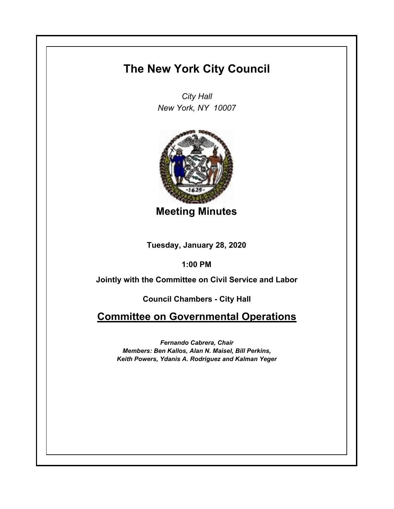## **The New York City Council**

*City Hall New York, NY 10007*



**Meeting Minutes**

**Tuesday, January 28, 2020**

**1:00 PM**

**Jointly with the Committee on Civil Service and Labor**

**Council Chambers - City Hall**

**Committee on Governmental Operations**

*Fernando Cabrera, Chair Members: Ben Kallos, Alan N. Maisel, Bill Perkins, Keith Powers, Ydanis A. Rodriguez and Kalman Yeger*